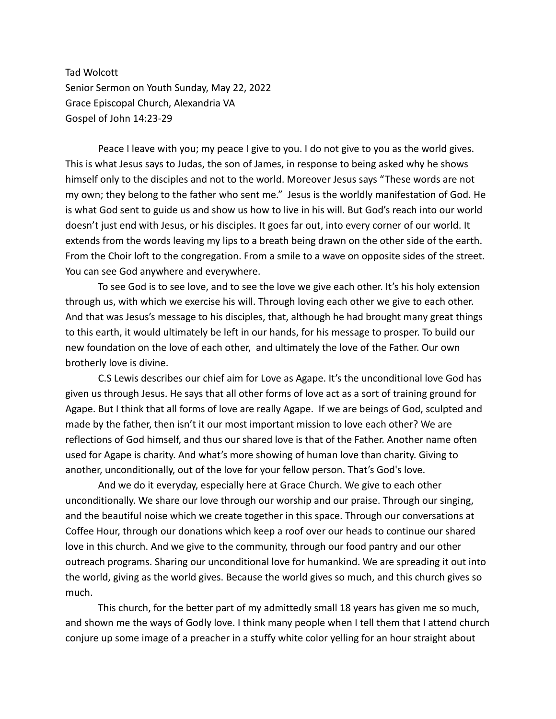Tad Wolcott Senior Sermon on Youth Sunday, May 22, 2022 Grace Episcopal Church, Alexandria VA Gospel of John 14:23-29

Peace I leave with you; my peace I give to you. I do not give to you as the world gives. This is what Jesus says to Judas, the son of James, in response to being asked why he shows himself only to the disciples and not to the world. Moreover Jesus says "These words are not my own; they belong to the father who sent me." Jesus is the worldly manifestation of God. He is what God sent to guide us and show us how to live in his will. But God's reach into our world doesn't just end with Jesus, or his disciples. It goes far out, into every corner of our world. It extends from the words leaving my lips to a breath being drawn on the other side of the earth. From the Choir loft to the congregation. From a smile to a wave on opposite sides of the street. You can see God anywhere and everywhere.

To see God is to see love, and to see the love we give each other. It's his holy extension through us, with which we exercise his will. Through loving each other we give to each other. And that was Jesus's message to his disciples, that, although he had brought many great things to this earth, it would ultimately be left in our hands, for his message to prosper. To build our new foundation on the love of each other, and ultimately the love of the Father. Our own brotherly love is divine.

C.S Lewis describes our chief aim for Love as Agape. It's the unconditional love God has given us through Jesus. He says that all other forms of love act as a sort of training ground for Agape. But I think that all forms of love are really Agape. If we are beings of God, sculpted and made by the father, then isn't it our most important mission to love each other? We are reflections of God himself, and thus our shared love is that of the Father. Another name often used for Agape is charity. And what's more showing of human love than charity. Giving to another, unconditionally, out of the love for your fellow person. That's God's love.

And we do it everyday, especially here at Grace Church. We give to each other unconditionally. We share our love through our worship and our praise. Through our singing, and the beautiful noise which we create together in this space. Through our conversations at Coffee Hour, through our donations which keep a roof over our heads to continue our shared love in this church. And we give to the community, through our food pantry and our other outreach programs. Sharing our unconditional love for humankind. We are spreading it out into the world, giving as the world gives. Because the world gives so much, and this church gives so much.

This church, for the better part of my admittedly small 18 years has given me so much, and shown me the ways of Godly love. I think many people when I tell them that I attend church conjure up some image of a preacher in a stuffy white color yelling for an hour straight about